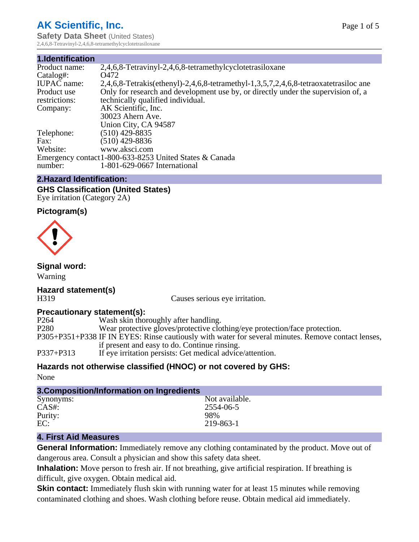## **AK Scientific, Inc.**

**Safety Data Sheet** (United States) 2,4,6,8-Tetravinyl-2,4,6,8-tetramethylcyclotetrasiloxane

| 2,4,6,8-Tetravinyl-2,4,6,8-tetramethylcyclotetrasiloxane                             |
|--------------------------------------------------------------------------------------|
| Q472                                                                                 |
| 2,4,6,8-Tetrakis(ethenyl)-2,4,6,8-tetramethyl-1,3,5,7,2,4,6,8-tetraoxatetrasiloc ane |
| Only for research and development use by, or directly under the supervision of, a    |
| technically qualified individual.                                                    |
| AK Scientific, Inc.                                                                  |
| 30023 Ahern Ave.                                                                     |
| Union City, CA 94587                                                                 |
| $(510)$ 429-8835                                                                     |
| $(510)$ 429-8836                                                                     |
| www.aksci.com                                                                        |
| Emergency contact 1-800-633-8253 United States & Canada                              |
| 1-801-629-0667 International                                                         |
|                                                                                      |

#### **2.Hazard Identification:**

**GHS Classification (United States)** Eye irritation (Category 2A)

## **Pictogram(s)**



#### **Signal word:**

Warning

# **Hazard statement(s)**

H319 Causes serious eye irritation.

#### **Precautionary statement(s):**

| P264<br>Wash skin thoroughly after handling.                                                       |                                                                            |
|----------------------------------------------------------------------------------------------------|----------------------------------------------------------------------------|
| P <sub>280</sub>                                                                                   | Wear protective gloves/protective clothing/eye protection/face protection. |
| P305+P351+P338 IF IN EYES: Rinse cautiously with water for several minutes. Remove contact lenses, |                                                                            |
| if present and easy to do. Continue rinsing.                                                       |                                                                            |
| P337+P313<br>If eye irritation persists: Get medical advice/attention.                             |                                                                            |

#### **Hazards not otherwise classified (HNOC) or not covered by GHS:**

None

| 3. Composition/Information on Ingredients |                |  |  |
|-------------------------------------------|----------------|--|--|
| Synonyms:                                 | Not available. |  |  |
| $CAS#$ :                                  | 2554-06-5      |  |  |
| Purity:                                   | 98%            |  |  |
| EC:                                       | 219-863-1      |  |  |
|                                           |                |  |  |

#### **4. First Aid Measures**

**General Information:** Immediately remove any clothing contaminated by the product. Move out of dangerous area. Consult a physician and show this safety data sheet.

**Inhalation:** Move person to fresh air. If not breathing, give artificial respiration. If breathing is difficult, give oxygen. Obtain medical aid.

**Skin contact:** Immediately flush skin with running water for at least 15 minutes while removing contaminated clothing and shoes. Wash clothing before reuse. Obtain medical aid immediately.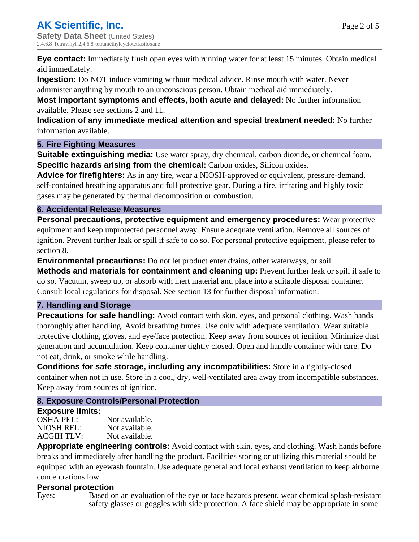**Eye contact:** Immediately flush open eyes with running water for at least 15 minutes. Obtain medical aid immediately.

**Ingestion:** Do NOT induce vomiting without medical advice. Rinse mouth with water. Never

administer anything by mouth to an unconscious person. Obtain medical aid immediately.

**Most important symptoms and effects, both acute and delayed:** No further information available. Please see sections 2 and 11.

**Indication of any immediate medical attention and special treatment needed:** No further information available.

#### **5. Fire Fighting Measures**

**Suitable extinguishing media:** Use water spray, dry chemical, carbon dioxide, or chemical foam. **Specific hazards arising from the chemical:** Carbon oxides, Silicon oxides.

**Advice for firefighters:** As in any fire, wear a NIOSH-approved or equivalent, pressure-demand, self-contained breathing apparatus and full protective gear. During a fire, irritating and highly toxic gases may be generated by thermal decomposition or combustion.

## **6. Accidental Release Measures**

**Personal precautions, protective equipment and emergency procedures:** Wear protective equipment and keep unprotected personnel away. Ensure adequate ventilation. Remove all sources of ignition. Prevent further leak or spill if safe to do so. For personal protective equipment, please refer to section 8.

**Environmental precautions:** Do not let product enter drains, other waterways, or soil.

**Methods and materials for containment and cleaning up:** Prevent further leak or spill if safe to do so. Vacuum, sweep up, or absorb with inert material and place into a suitable disposal container. Consult local regulations for disposal. See section 13 for further disposal information.

## **7. Handling and Storage**

**Precautions for safe handling:** Avoid contact with skin, eyes, and personal clothing. Wash hands thoroughly after handling. Avoid breathing fumes. Use only with adequate ventilation. Wear suitable protective clothing, gloves, and eye/face protection. Keep away from sources of ignition. Minimize dust generation and accumulation. Keep container tightly closed. Open and handle container with care. Do not eat, drink, or smoke while handling.

**Conditions for safe storage, including any incompatibilities:** Store in a tightly-closed container when not in use. Store in a cool, dry, well-ventilated area away from incompatible substances. Keep away from sources of ignition.

## **8. Exposure Controls/Personal Protection**

#### **Exposure limits:**

OSHA PEL: Not available. NIOSH REL: Not available.<br>ACGIH TLV: Not available. ACGIH TLV:

**Appropriate engineering controls:** Avoid contact with skin, eyes, and clothing. Wash hands before breaks and immediately after handling the product. Facilities storing or utilizing this material should be equipped with an eyewash fountain. Use adequate general and local exhaust ventilation to keep airborne concentrations low.

## **Personal protection**

Eyes: Based on an evaluation of the eye or face hazards present, wear chemical splash-resistant safety glasses or goggles with side protection. A face shield may be appropriate in some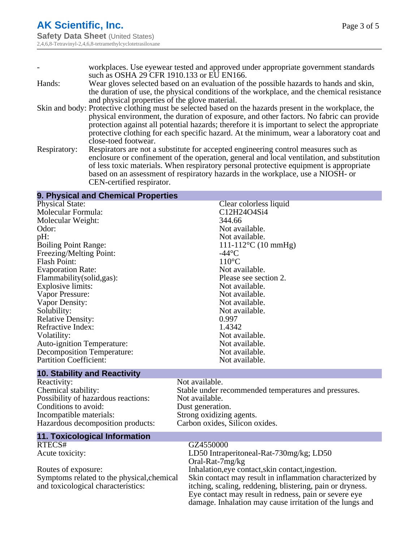|              | workplaces. Use eyewear tested and approved under appropriate government standards                     |
|--------------|--------------------------------------------------------------------------------------------------------|
|              | such as OSHA 29 CFR 1910.133 or EU EN166.                                                              |
| Hands:       | Wear gloves selected based on an evaluation of the possible hazards to hands and skin,                 |
|              | the duration of use, the physical conditions of the workplace, and the chemical resistance             |
|              | and physical properties of the glove material.                                                         |
|              | Skin and body: Protective clothing must be selected based on the hazards present in the workplace, the |
|              | physical environment, the duration of exposure, and other factors. No fabric can provide               |
|              | protection against all potential hazards; therefore it is important to select the appropriate          |
|              | protective clothing for each specific hazard. At the minimum, wear a laboratory coat and               |
|              | close-toed footwear.                                                                                   |
| Respiratory: | Respirators are not a substitute for accepted engineering control measures such as                     |
|              | enclosure or confinement of the operation, general and local ventilation, and substitution             |
|              | of less toxic materials. When respiratory personal protective equipment is appropriate                 |
|              | based on an assessment of respiratory hazards in the workplace, use a NIOSH- or                        |

CEN-certified respirator.

| 9. Physical and Chemical Properties        |                                                           |
|--------------------------------------------|-----------------------------------------------------------|
| <b>Physical State:</b>                     | Clear colorless liquid                                    |
| Molecular Formula:                         | C12H24O4Si4                                               |
| Molecular Weight:                          | 344.66                                                    |
| Odor:                                      | Not available.                                            |
| pH:                                        | Not available.                                            |
| <b>Boiling Point Range:</b>                | $111 - 112$ °C (10 mmHg)                                  |
| Freezing/Melting Point:                    | $-44$ °C                                                  |
| <b>Flash Point:</b>                        | $110^{\circ}$ C                                           |
| <b>Evaporation Rate:</b>                   | Not available.                                            |
| Flammability(solid,gas):                   | Please see section 2.                                     |
| <b>Explosive limits:</b>                   | Not available.                                            |
| Vapor Pressure:                            | Not available.                                            |
| Vapor Density:                             | Not available.                                            |
| Solubility:                                | Not available.                                            |
| <b>Relative Density:</b>                   | 0.997                                                     |
| Refractive Index:                          | 1.4342                                                    |
| Volatility:                                | Not available.                                            |
| <b>Auto-ignition Temperature:</b>          | Not available.                                            |
| <b>Decomposition Temperature:</b>          | Not available.                                            |
| <b>Partition Coefficient:</b>              | Not available.                                            |
| <b>10. Stability and Reactivity</b>        |                                                           |
| Reactivity:                                | Not available.                                            |
| Chemical stability:                        | Stable under recommended temperatures and pressures.      |
| Possibility of hazardous reactions:        | Not available.                                            |
| Conditions to avoid:                       | Dust generation.                                          |
| Incompatible materials:                    | Strong oxidizing agents.                                  |
| Hazardous decomposition products:          | Carbon oxides, Silicon oxides.                            |
| <b>11. Toxicological Information</b>       |                                                           |
| RTECS#                                     | GZ4550000                                                 |
| Acute toxicity:                            | LD50 Intraperitoneal-Rat-730mg/kg; LD50                   |
|                                            | Oral-Rat-7mg/kg                                           |
| Routes of exposure:                        | Inhalation, eye contact, skin contact, ingestion.         |
| Symptoms related to the physical, chemical | Skin contact may result in inflammation characterized by  |
| and toxicological characteristics:         | itching, scaling, reddening, blistering, pain or dryness. |
|                                            | Eye contact may result in redness, pain or severe eye     |
|                                            | damage. Inhalation may cause irritation of the lungs and  |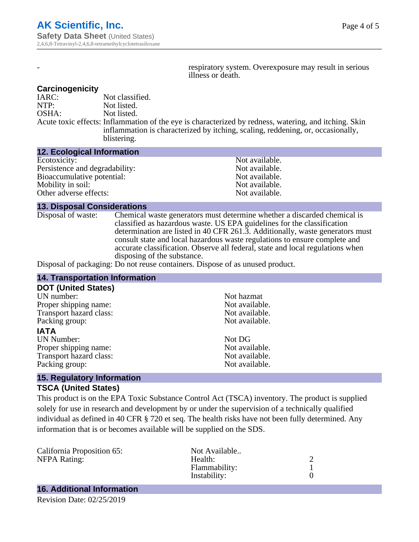respiratory system. Overexposure may result in serious illness or death.

#### **Carcinogenicity**

IARC: Not classified.<br>
NOTP: Not listed. Not listed. OSHA: Not listed. Acute toxic effects: Inflammation of the eye is characterized by redness, watering, and itching. Skin inflammation is characterized by itching, scaling, reddening, or, occasionally, blistering.

#### **12. Ecological Information**

| Not available. |
|----------------|
| Not available. |
| Not available. |
| Not available. |
| Not available. |
|                |

#### **13. Disposal Considerations**

Disposal of waste: Chemical waste generators must determine whether a discarded chemical is classified as hazardous waste. US EPA guidelines for the classification determination are listed in 40 CFR 261.3. Additionally, waste generators must consult state and local hazardous waste regulations to ensure complete and accurate classification. Observe all federal, state and local regulations when disposing of the substance.

Disposal of packaging: Do not reuse containers. Dispose of as unused product.

| <b>14. Transportation Information</b>                                     |                |  |
|---------------------------------------------------------------------------|----------------|--|
| <b>DOT (United States)</b>                                                |                |  |
| UN number:                                                                | Not hazmat     |  |
| Proper shipping name:                                                     | Not available. |  |
| Transport hazard class:                                                   | Not available. |  |
| Packing group:                                                            | Not available. |  |
| <b>IATA</b>                                                               |                |  |
| <b>UN Number:</b>                                                         | Not DG         |  |
| Proper shipping name:                                                     | Not available. |  |
| Transport hazard class:                                                   | Not available. |  |
| Packing group:                                                            | Not available. |  |
| $\mathbf{A} = \mathbf{B}$ is a small of a singular function on a state of |                |  |

#### **15. Regulatory Information TSCA (United States)**

This product is on the EPA Toxic Substance Control Act (TSCA) inventory. The product is supplied solely for use in research and development by or under the supervision of a technically qualified individual as defined in 40 CFR § 720 et seq. The health risks have not been fully determined. Any information that is or becomes available will be supplied on the SDS.

| California Proposition 65: | Not Available |  |
|----------------------------|---------------|--|
| NFPA Rating:               | Health:       |  |
|                            | Flammability: |  |
|                            | Instability:  |  |
|                            |               |  |

# **16. Additional Information**

Revision Date: 02/25/2019